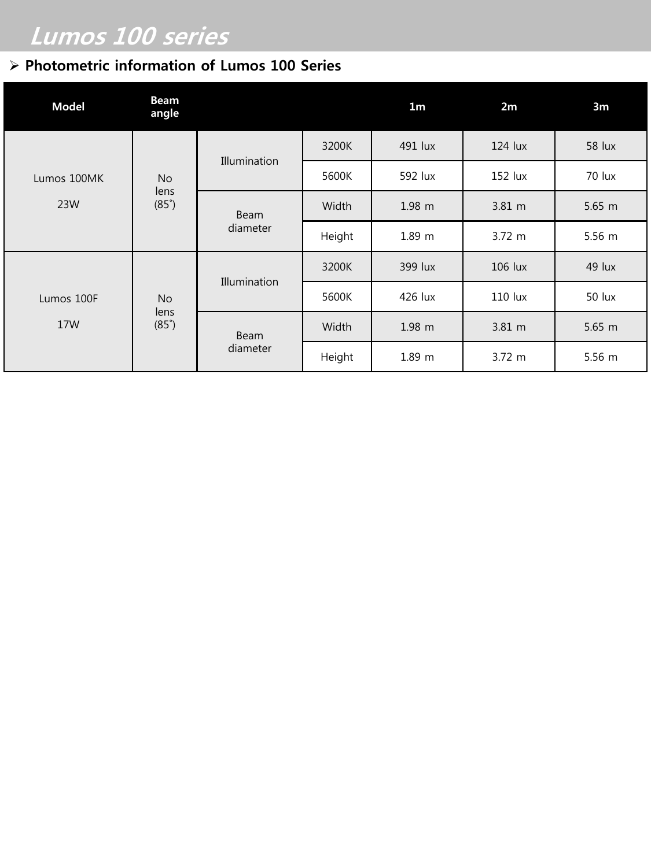## Lumos 100 series

### Photometric information of Lumos 100 Series

| <b>Model</b>       | <b>Beam</b><br>angle              |                  |        | 1 <sub>m</sub>    | 2m               | 3m            |
|--------------------|-----------------------------------|------------------|--------|-------------------|------------------|---------------|
| Lumos 100MK<br>23W | <b>No</b><br>lens<br>$(85^\circ)$ | Illumination     | 3200K  | 491 lux           | 124 lux          | <b>58 lux</b> |
|                    |                                   |                  | 5600K  | 592 lux           | 152 lux          | 70 lux        |
|                    |                                   | Beam<br>diameter | Width  | $1.98$ m          | $3.81 \text{ m}$ | $5.65$ m      |
|                    |                                   |                  | Height | 1.89 m            | 3.72 m           | 5.56 m        |
| Lumos 100F<br>17W  | <b>No</b><br>lens<br>$(85^\circ)$ | Illumination     | 3200K  | 399 lux           | $106$ lux        | 49 lux        |
|                    |                                   |                  | 5600K  | 426 lux           | 110 lux          | 50 lux        |
|                    |                                   | Beam<br>diameter | Width  | $1.98$ m          | 3.81 m           | $5.65$ m      |
|                    |                                   |                  | Height | 1.89 <sub>m</sub> | $3.72 \; m$      | 5.56 m        |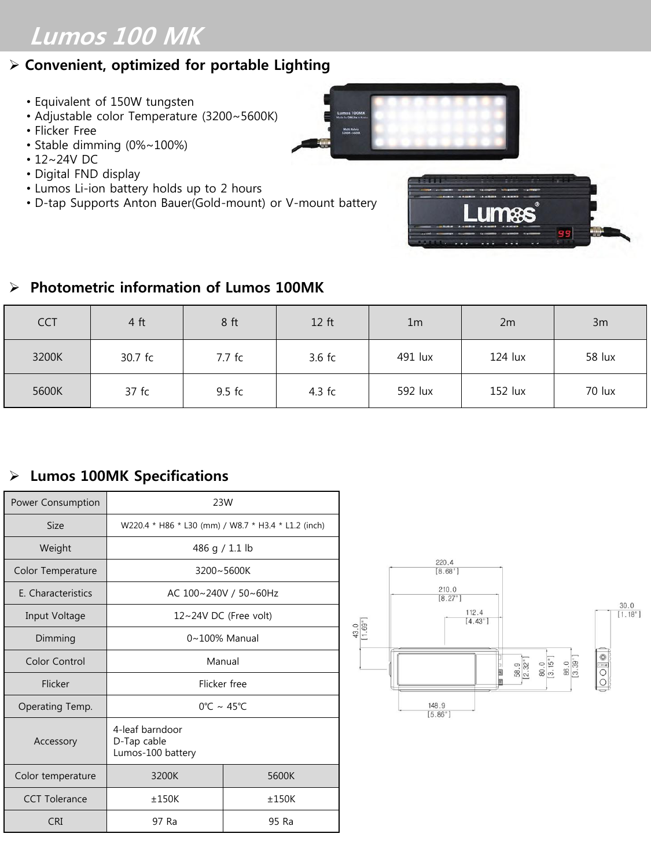# Lumos 100 MK

#### $\triangleright$  Convenient, optimized for portable Lighting

- Equivalent of 150W tungsten
- Adjustable color Temperature (3200~5600K)
- Flicker Free
- Stable dimming (0%~100%)
- 12~24V DC
- Digital FND display
- Lumos Li-ion battery holds up to 2 hours
- D-tap Supports Anton Bauer(Gold-mount) or V-mount battery





#### $\triangleright$  Photometric information of Lumos 100MK

| <b>CCT</b> | 4 ft    | 8 <sub>ft</sub> | 12 ft    | 1 <sub>m</sub> | 2m        | 3m     |
|------------|---------|-----------------|----------|----------------|-----------|--------|
| 3200K      | 30.7 fc | 7.7 fc          | $3.6$ fc | 491 lux        | $124$ lux | 58 lux |
| 5600K      | 37 fc   | $9.5$ fc        | $4.3$ fc | 592 lux        | 152 lux   | 70 lux |

#### Lumos 100MK Specifications

| Power Consumption  | 23W                                                 |       |  |
|--------------------|-----------------------------------------------------|-------|--|
| <b>Size</b>        | W220.4 * H86 * L30 (mm) / W8.7 * H3.4 * L1.2 (inch) |       |  |
| Weight             | 486 g / 1.1 lb                                      |       |  |
| Color Temperature  | $3200 - 5600K$                                      |       |  |
| E. Characteristics | AC 100~240V / 50~60Hz                               |       |  |
| Input Voltage      | 12~24V DC (Free volt)                               |       |  |
| Dimming            | $0 \sim 100\%$ Manual                               |       |  |
| Color Control      | Manual                                              |       |  |
| Flicker            | Flicker free                                        |       |  |
| Operating Temp.    | $0^{\circ}$ C ~ 45 $^{\circ}$ C                     |       |  |
| Accessory          | 4-leaf barndoor<br>D-Tap cable<br>Lumos-100 battery |       |  |
| Color temperature  | 3200K                                               | 5600K |  |
| CCT Tolerance      | ±150K                                               | ±150K |  |
| <b>CRI</b>         | 97 Ra                                               | 95 Ra |  |